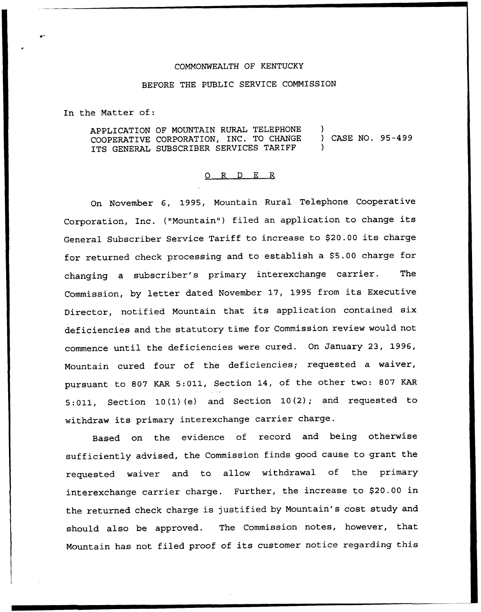## COMMONWEALTH OF KENTUCKY

## BEFORE THE PUBLIC SERVICE COMMISSION

In the Matter of:

| APPLICATION OF MOUNTAIN RURAL TELEPHONE |                 |  |
|-----------------------------------------|-----------------|--|
| COOPERATIVE CORPORATION, INC. TO CHANGE | CASE NO. 95-499 |  |
| ITS GENERAL SUBSCRIBER SERVICES TARIFF  |                 |  |

## 0 R <sup>D</sup> E R

On November 6, 1995, Mountain Rural Telephone Cooperative Corporation, Inc. ("Mountain") filed an application to change its General Subscriber Service Tariff to increase to \$20.00 its charge for returned check processing and to establish a \$5.00 charge for changing <sup>a</sup> subscriber's primary interexchange carrier. The Commission, by letter dated November 17, <sup>1995</sup> from its Executive Director, notified Mountain that its application contained six deficiencies and the statutory time for Commission review would not commence until the deficiencies were cured. On January 23, 1996, Mountain cured four of the deficiencies; requested a waiver, pursuant to 807 KAR 5:011, Section 14, of the other two: 807 KAR 5:011, Section 10(1)(e) and Section 10(2); and requested to withdraw its primary interexchange carrier charge.

Based on the evidence of record and being otherwise sufficiently advised, the Commission finds good cause to grant the requested waiver and to allow withdrawal of the primary interexchange carrier charge. Further, the increase to \$20.00 in the returned check charge is justified by Mountain's cost study and should also be approved. The Commission notes, however, that Mountain has not filed proof of its customer notice regarding this